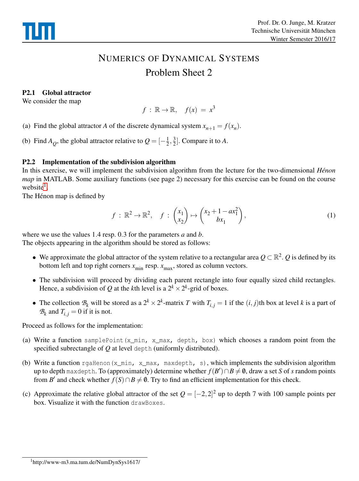

# NUMERICS OF DYNAMICAL SYSTEMS Problem Sheet 2

## P2.1 Global attractor

We consider the map

 $f : \mathbb{R} \to \mathbb{R}, \quad f(x) = x^3$ 

(a) Find the global attractor *A* of the discrete dynamical system  $x_{n+1} = f(x_n)$ .

(b) Find  $A_Q$ , the global attractor relative to  $Q = \left[-\frac{1}{2}\right]$  $\frac{1}{2}, \frac{3}{2}$  $\frac{3}{2}$ . Compare it to A.

#### P2.2 Implementation of the subdivision algorithm

In this exercise, we will implement the subdivision algorithm from the lecture for the two-dimensional *Hénon map* in MATLAB. Some auxiliary functions (see page 2) necessary for this exercise can be found on the course website<sup>[1](#page-0-0)</sup>.

The Hénon map is defined by

$$
f: \mathbb{R}^2 \to \mathbb{R}^2, \quad f: \begin{pmatrix} x_1 \\ x_2 \end{pmatrix} \mapsto \begin{pmatrix} x_2 + 1 - ax_1^2 \\ bx_1 \end{pmatrix}, \tag{1}
$$

where we use the values 1.4 resp. 0.3 for the parameters *a* and *b*. The objects appearing in the algorithm should be stored as follows:

- We approximate the global attractor of the system relative to a rectangular area *Q* ⊂ R 2 . *Q* is defined by its bottom left and top right corners  $x_{\text{min}}$  resp.  $x_{\text{max}}$ , stored as column vectors.
- The subdivision will proceed by dividing each parent rectangle into four equally sized child rectangles. Hence, a subdivision of Q at the *k*th level is a  $2^k \times 2^k$ -grid of boxes.
- The collection  $B_k$  will be stored as a  $2^k \times 2^k$ -matrix *T* with  $T_{i,j} = 1$  if the  $(i, j)$ th box at level *k* is a part of  $B_k$  and  $T_{i,j} = 0$  if it is not.

Proceed as follows for the implementation:

- (a) Write a function samplePoint(x\_min, x\_max, depth, box) which chooses a random point from the specified subrectangle of *Q* at level depth (uniformly distributed).
- (b) Write a function rgaHenon(x\_min, x\_max, maxdepth, s), which implements the subdivision algorithm  $\mathfrak{u}$ p to depth maxdepth. To (approximately) determine whether  $f(B')$ ∩ $B\neq\emptyset$ , draw a set  $S$  of  $s$  random points from *B'* and check whether  $f(S) \cap B \neq \emptyset$ . Try to find an efficient implementation for this check.
- <span id="page-0-0"></span>(c) Approximate the relative global attractor of the set  $Q = [-2,2]^2$  up to depth 7 with 100 sample points per box. Visualize it with the function drawBoxes.